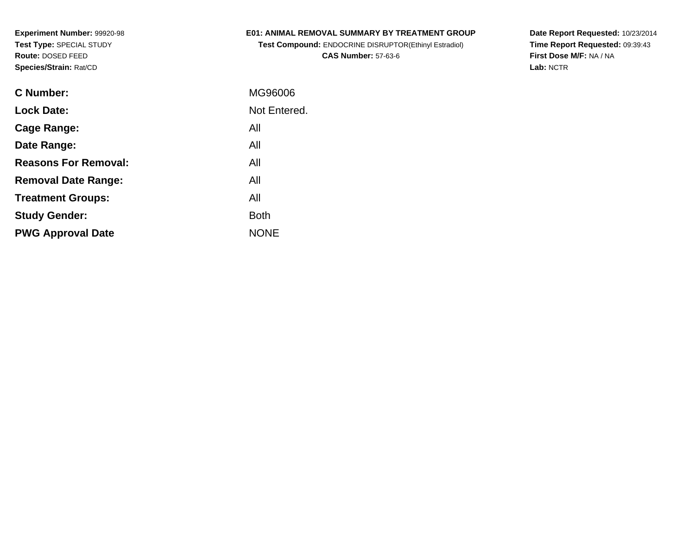### **E01: ANIMAL REMOVAL SUMMARY BY TREATMENT GROUP**

**Test Compound:** ENDOCRINE DISRUPTOR(Ethinyl Estradiol)**CAS Number:** 57-63-6

**Date Report Requested:** 10/23/2014 **Time Report Requested:** 09:39:43**First Dose M/F:** NA / NA**Lab:** NCTR

| C Number:                   | MG96006      |
|-----------------------------|--------------|
| <b>Lock Date:</b>           | Not Entered. |
| Cage Range:                 | All          |
| Date Range:                 | All          |
| <b>Reasons For Removal:</b> | All          |
| <b>Removal Date Range:</b>  | All          |
| <b>Treatment Groups:</b>    | All          |
| <b>Study Gender:</b>        | <b>Both</b>  |
| <b>PWG Approval Date</b>    | <b>NONE</b>  |
|                             |              |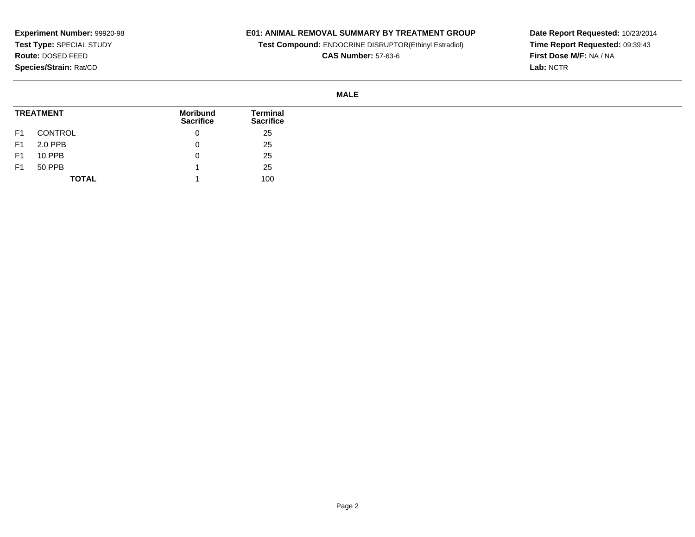## **E01: ANIMAL REMOVAL SUMMARY BY TREATMENT GROUP**

**Test Compound:** ENDOCRINE DISRUPTOR(Ethinyl Estradiol)

**CAS Number:** 57-63-6

**Date Report Requested:** 10/23/2014 **Time Report Requested:** 09:39:43**First Dose M/F:** NA / NA**Lab:** NCTR

#### **MALE**

| <b>TREATMENT</b> |              | <b>Moribund</b><br><b>Sacrifice</b> | Terminal<br><b>Sacrifice</b> |
|------------------|--------------|-------------------------------------|------------------------------|
| F1               | CONTROL      | 0                                   | 25                           |
| F <sub>1</sub>   | 2.0 PPB      | 0                                   | 25                           |
| F <sub>1</sub>   | 10 PPB       | O                                   | 25                           |
| F <sub>1</sub>   | 50 PPB       |                                     | 25                           |
|                  | <b>TOTAL</b> |                                     | 100                          |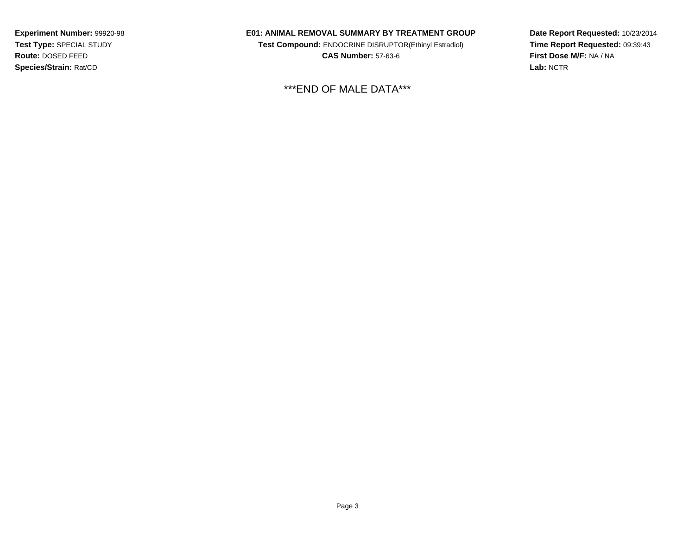#### **E01: ANIMAL REMOVAL SUMMARY BY TREATMENT GROUP**

**Test Compound:** ENDOCRINE DISRUPTOR(Ethinyl Estradiol)**CAS Number:** 57-63-6

\*\*\*END OF MALE DATA\*\*\*

**Date Report Requested:** 10/23/2014**Time Report Requested:** 09:39:43**First Dose M/F:** NA / NA**Lab:** NCTR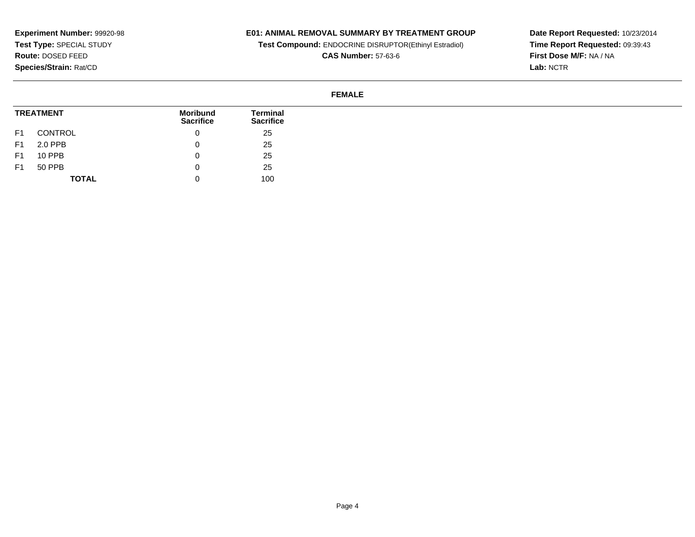## **E01: ANIMAL REMOVAL SUMMARY BY TREATMENT GROUP**

**Test Compound:** ENDOCRINE DISRUPTOR(Ethinyl Estradiol)

**CAS Number:** 57-63-6

**Date Report Requested:** 10/23/2014 **Time Report Requested:** 09:39:43**First Dose M/F:** NA / NA**Lab:** NCTR

### **FEMALE**

|                | <b>TREATMENT</b> | Moribund<br><b>Sacrifice</b> | Terminal<br><b>Sacrifice</b> |
|----------------|------------------|------------------------------|------------------------------|
| F <sub>1</sub> | CONTROL          |                              | 25                           |
| F <sub>1</sub> | 2.0 PPB          |                              | 25                           |
| F <sub>1</sub> | 10 PPB           |                              | 25                           |
| F1             | 50 PPB           |                              | 25                           |
|                | <b>TOTAL</b>     |                              | 100                          |